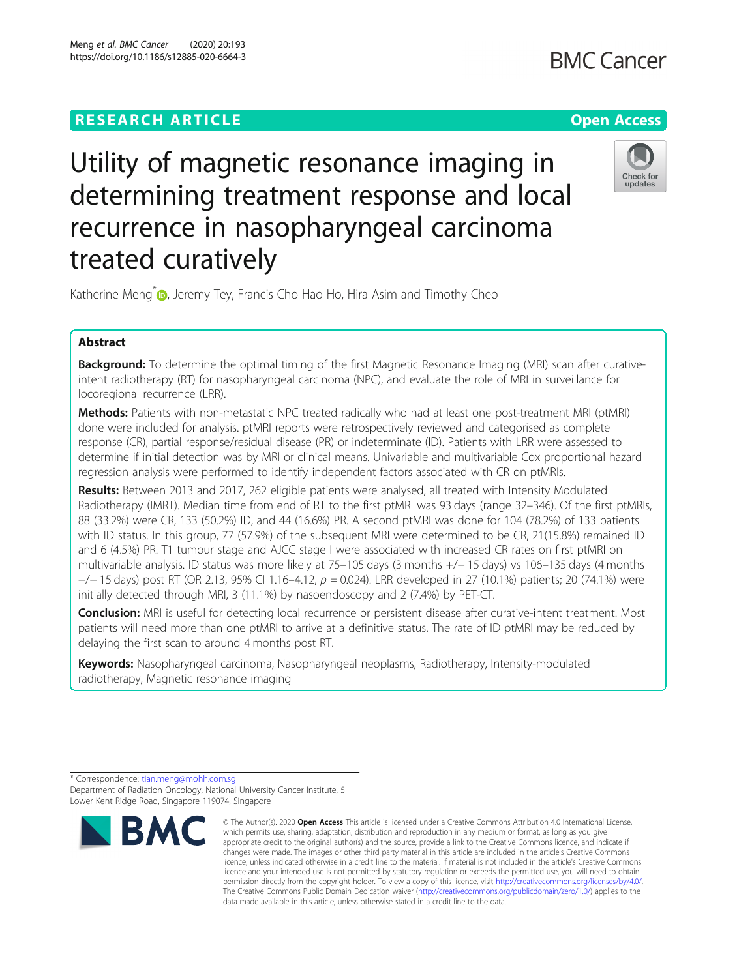# **RESEARCH ARTICLE Example 2014 12:30 The Contract of Contract ACCESS**

# **BMC Cancer**



Utility of magnetic resonance imaging in determining treatment response and local recurrence in nasopharyngeal carcinoma treated curatively

Katherine Meng<sup>[\\*](http://orcid.org/0000-0003-2765-8403)</sup> **D**, Jeremy Tey, Francis Cho Hao Ho, Hira Asim and Timothy Cheo

# Abstract

Background: To determine the optimal timing of the first Magnetic Resonance Imaging (MRI) scan after curativeintent radiotherapy (RT) for nasopharyngeal carcinoma (NPC), and evaluate the role of MRI in surveillance for locoregional recurrence (LRR).

Methods: Patients with non-metastatic NPC treated radically who had at least one post-treatment MRI (ptMRI) done were included for analysis. ptMRI reports were retrospectively reviewed and categorised as complete response (CR), partial response/residual disease (PR) or indeterminate (ID). Patients with LRR were assessed to determine if initial detection was by MRI or clinical means. Univariable and multivariable Cox proportional hazard regression analysis were performed to identify independent factors associated with CR on ptMRIs.

Results: Between 2013 and 2017, 262 eligible patients were analysed, all treated with Intensity Modulated Radiotherapy (IMRT). Median time from end of RT to the first ptMRI was 93 days (range 32–346). Of the first ptMRIs, 88 (33.2%) were CR, 133 (50.2%) ID, and 44 (16.6%) PR. A second ptMRI was done for 104 (78.2%) of 133 patients with ID status. In this group, 77 (57.9%) of the subsequent MRI were determined to be CR, 21(15.8%) remained ID and 6 (4.5%) PR. T1 tumour stage and AJCC stage I were associated with increased CR rates on first ptMRI on multivariable analysis. ID status was more likely at 75–105 days (3 months +/− 15 days) vs 106–135 days (4 months +/− 15 days) post RT (OR 2.13, 95% CI 1.16–4.12, p = 0.024). LRR developed in 27 (10.1%) patients; 20 (74.1%) were initially detected through MRI, 3 (11.1%) by nasoendoscopy and 2 (7.4%) by PET-CT.

Conclusion: MRI is useful for detecting local recurrence or persistent disease after curative-intent treatment. Most patients will need more than one ptMRI to arrive at a definitive status. The rate of ID ptMRI may be reduced by delaying the first scan to around 4 months post RT.

Keywords: Nasopharyngeal carcinoma, Nasopharyngeal neoplasms, Radiotherapy, Intensity-modulated radiotherapy, Magnetic resonance imaging

<sup>\*</sup> Correspondence: [tian.meng@mohh.com.sg](mailto:tian.meng@mohh.com.sg) Department of Radiation Oncology, National University Cancer Institute, 5 Lower Kent Ridge Road, Singapore 119074, Singapore



<sup>©</sup> The Author(s), 2020 **Open Access** This article is licensed under a Creative Commons Attribution 4.0 International License, which permits use, sharing, adaptation, distribution and reproduction in any medium or format, as long as you give appropriate credit to the original author(s) and the source, provide a link to the Creative Commons licence, and indicate if changes were made. The images or other third party material in this article are included in the article's Creative Commons licence, unless indicated otherwise in a credit line to the material. If material is not included in the article's Creative Commons licence and your intended use is not permitted by statutory regulation or exceeds the permitted use, you will need to obtain permission directly from the copyright holder. To view a copy of this licence, visit [http://creativecommons.org/licenses/by/4.0/.](http://creativecommons.org/licenses/by/4.0/) The Creative Commons Public Domain Dedication waiver [\(http://creativecommons.org/publicdomain/zero/1.0/](http://creativecommons.org/publicdomain/zero/1.0/)) applies to the data made available in this article, unless otherwise stated in a credit line to the data.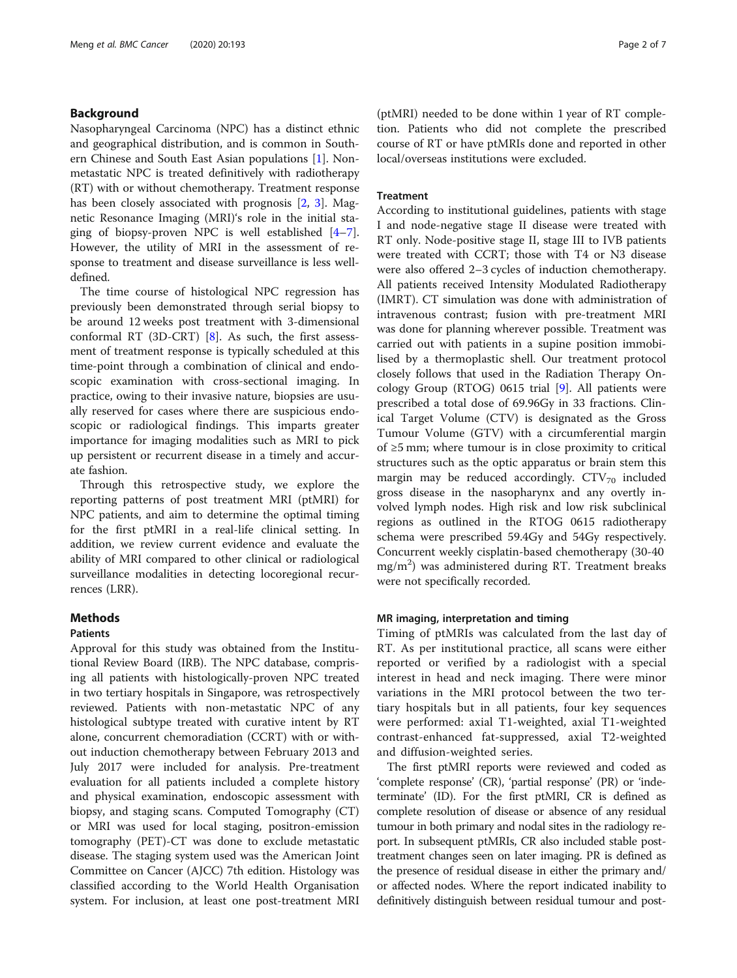# Background

Nasopharyngeal Carcinoma (NPC) has a distinct ethnic and geographical distribution, and is common in Southern Chinese and South East Asian populations [\[1](#page-6-0)]. Nonmetastatic NPC is treated definitively with radiotherapy (RT) with or without chemotherapy. Treatment response has been closely associated with prognosis [\[2](#page-6-0), [3](#page-6-0)]. Magnetic Resonance Imaging (MRI)'s role in the initial staging of biopsy-proven NPC is well established  $[4-7]$  $[4-7]$  $[4-7]$  $[4-7]$ . However, the utility of MRI in the assessment of response to treatment and disease surveillance is less welldefined.

The time course of histological NPC regression has previously been demonstrated through serial biopsy to be around 12 weeks post treatment with 3-dimensional conformal RT (3D-CRT) [\[8](#page-6-0)]. As such, the first assessment of treatment response is typically scheduled at this time-point through a combination of clinical and endoscopic examination with cross-sectional imaging. In practice, owing to their invasive nature, biopsies are usually reserved for cases where there are suspicious endoscopic or radiological findings. This imparts greater importance for imaging modalities such as MRI to pick up persistent or recurrent disease in a timely and accurate fashion.

Through this retrospective study, we explore the reporting patterns of post treatment MRI (ptMRI) for NPC patients, and aim to determine the optimal timing for the first ptMRI in a real-life clinical setting. In addition, we review current evidence and evaluate the ability of MRI compared to other clinical or radiological surveillance modalities in detecting locoregional recurrences (LRR).

# Methods

# Patients

Approval for this study was obtained from the Institutional Review Board (IRB). The NPC database, comprising all patients with histologically-proven NPC treated in two tertiary hospitals in Singapore, was retrospectively reviewed. Patients with non-metastatic NPC of any histological subtype treated with curative intent by RT alone, concurrent chemoradiation (CCRT) with or without induction chemotherapy between February 2013 and July 2017 were included for analysis. Pre-treatment evaluation for all patients included a complete history and physical examination, endoscopic assessment with biopsy, and staging scans. Computed Tomography (CT) or MRI was used for local staging, positron-emission tomography (PET)-CT was done to exclude metastatic disease. The staging system used was the American Joint Committee on Cancer (AJCC) 7th edition. Histology was classified according to the World Health Organisation system. For inclusion, at least one post-treatment MRI

(ptMRI) needed to be done within 1 year of RT completion. Patients who did not complete the prescribed course of RT or have ptMRIs done and reported in other local/overseas institutions were excluded.

# **Treatment**

According to institutional guidelines, patients with stage I and node-negative stage II disease were treated with RT only. Node-positive stage II, stage III to IVB patients were treated with CCRT; those with T4 or N3 disease were also offered 2–3 cycles of induction chemotherapy. All patients received Intensity Modulated Radiotherapy (IMRT). CT simulation was done with administration of intravenous contrast; fusion with pre-treatment MRI was done for planning wherever possible. Treatment was carried out with patients in a supine position immobilised by a thermoplastic shell. Our treatment protocol closely follows that used in the Radiation Therapy Oncology Group (RTOG) 0615 trial [[9\]](#page-6-0). All patients were prescribed a total dose of 69.96Gy in 33 fractions. Clinical Target Volume (CTV) is designated as the Gross Tumour Volume (GTV) with a circumferential margin of ≥5 mm; where tumour is in close proximity to critical structures such as the optic apparatus or brain stem this margin may be reduced accordingly.  $CTV_{70}$  included gross disease in the nasopharynx and any overtly involved lymph nodes. High risk and low risk subclinical regions as outlined in the RTOG 0615 radiotherapy schema were prescribed 59.4Gy and 54Gy respectively. Concurrent weekly cisplatin-based chemotherapy (30-40 mg/m<sup>2</sup> ) was administered during RT. Treatment breaks were not specifically recorded.

# MR imaging, interpretation and timing

Timing of ptMRIs was calculated from the last day of RT. As per institutional practice, all scans were either reported or verified by a radiologist with a special interest in head and neck imaging. There were minor variations in the MRI protocol between the two tertiary hospitals but in all patients, four key sequences were performed: axial T1-weighted, axial T1-weighted contrast-enhanced fat-suppressed, axial T2-weighted and diffusion-weighted series.

The first ptMRI reports were reviewed and coded as 'complete response' (CR), 'partial response' (PR) or 'indeterminate' (ID). For the first ptMRI, CR is defined as complete resolution of disease or absence of any residual tumour in both primary and nodal sites in the radiology report. In subsequent ptMRIs, CR also included stable posttreatment changes seen on later imaging. PR is defined as the presence of residual disease in either the primary and/ or affected nodes. Where the report indicated inability to definitively distinguish between residual tumour and post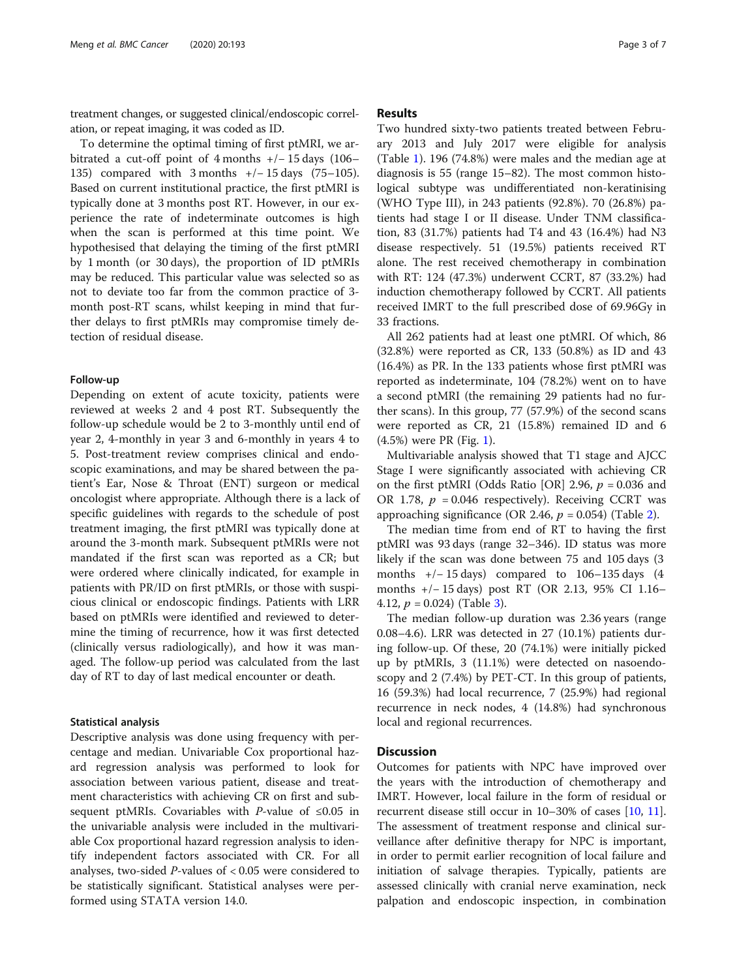treatment changes, or suggested clinical/endoscopic correlation, or repeat imaging, it was coded as ID.

To determine the optimal timing of first ptMRI, we arbitrated a cut-off point of 4 months +/− 15 days (106– 135) compared with 3 months +/− 15 days (75–105). Based on current institutional practice, the first ptMRI is typically done at 3 months post RT. However, in our experience the rate of indeterminate outcomes is high when the scan is performed at this time point. We hypothesised that delaying the timing of the first ptMRI by 1 month (or 30 days), the proportion of ID ptMRIs may be reduced. This particular value was selected so as not to deviate too far from the common practice of 3 month post-RT scans, whilst keeping in mind that further delays to first ptMRIs may compromise timely detection of residual disease.

# Follow-up

Depending on extent of acute toxicity, patients were reviewed at weeks 2 and 4 post RT. Subsequently the follow-up schedule would be 2 to 3-monthly until end of year 2, 4-monthly in year 3 and 6-monthly in years 4 to 5. Post-treatment review comprises clinical and endoscopic examinations, and may be shared between the patient's Ear, Nose & Throat (ENT) surgeon or medical oncologist where appropriate. Although there is a lack of specific guidelines with regards to the schedule of post treatment imaging, the first ptMRI was typically done at around the 3-month mark. Subsequent ptMRIs were not mandated if the first scan was reported as a CR; but were ordered where clinically indicated, for example in patients with PR/ID on first ptMRIs, or those with suspicious clinical or endoscopic findings. Patients with LRR based on ptMRIs were identified and reviewed to determine the timing of recurrence, how it was first detected (clinically versus radiologically), and how it was managed. The follow-up period was calculated from the last day of RT to day of last medical encounter or death.

# Statistical analysis

Descriptive analysis was done using frequency with percentage and median. Univariable Cox proportional hazard regression analysis was performed to look for association between various patient, disease and treatment characteristics with achieving CR on first and subsequent ptMRIs. Covariables with *P*-value of  $\leq 0.05$  in the univariable analysis were included in the multivariable Cox proportional hazard regression analysis to identify independent factors associated with CR. For all analyses, two-sided  $P$ -values of  $< 0.05$  were considered to be statistically significant. Statistical analyses were performed using STATA version 14.0.

# Results

Two hundred sixty-two patients treated between February 2013 and July 2017 were eligible for analysis (Table [1\)](#page-3-0). 196 (74.8%) were males and the median age at diagnosis is 55 (range 15–82). The most common histological subtype was undifferentiated non-keratinising (WHO Type III), in 243 patients (92.8%). 70 (26.8%) patients had stage I or II disease. Under TNM classification, 83 (31.7%) patients had T4 and 43 (16.4%) had N3 disease respectively. 51 (19.5%) patients received RT alone. The rest received chemotherapy in combination with RT: 124 (47.3%) underwent CCRT, 87 (33.2%) had induction chemotherapy followed by CCRT. All patients received IMRT to the full prescribed dose of 69.96Gy in 33 fractions.

All 262 patients had at least one ptMRI. Of which, 86 (32.8%) were reported as CR, 133 (50.8%) as ID and 43 (16.4%) as PR. In the 133 patients whose first ptMRI was reported as indeterminate, 104 (78.2%) went on to have a second ptMRI (the remaining 29 patients had no further scans). In this group, 77 (57.9%) of the second scans were reported as CR, 21 (15.8%) remained ID and 6 (4.5%) were PR (Fig. [1](#page-3-0)).

Multivariable analysis showed that T1 stage and AJCC Stage I were significantly associated with achieving CR on the first ptMRI (Odds Ratio [OR] 2.96,  $p = 0.036$  and OR 1.78,  $p = 0.046$  respectively). Receiving CCRT was approaching significance (OR 2.46,  $p = 0.054$ ) (Table [2\)](#page-4-0).

The median time from end of RT to having the first ptMRI was 93 days (range 32–346). ID status was more likely if the scan was done between 75 and 105 days (3 months +/− 15 days) compared to 106–135 days (4 months +/− 15 days) post RT (OR 2.13, 95% CI 1.16– 4.12,  $p = 0.024$ ) (Table [3](#page-5-0)).

The median follow-up duration was 2.36 years (range 0.08–4.6). LRR was detected in 27 (10.1%) patients during follow-up. Of these, 20 (74.1%) were initially picked up by ptMRIs, 3 (11.1%) were detected on nasoendoscopy and 2 (7.4%) by PET-CT. In this group of patients, 16 (59.3%) had local recurrence, 7 (25.9%) had regional recurrence in neck nodes, 4 (14.8%) had synchronous local and regional recurrences.

# **Discussion**

Outcomes for patients with NPC have improved over the years with the introduction of chemotherapy and IMRT. However, local failure in the form of residual or recurrent disease still occur in 10–30% of cases [\[10,](#page-6-0) [11](#page-6-0)]. The assessment of treatment response and clinical surveillance after definitive therapy for NPC is important, in order to permit earlier recognition of local failure and initiation of salvage therapies. Typically, patients are assessed clinically with cranial nerve examination, neck palpation and endoscopic inspection, in combination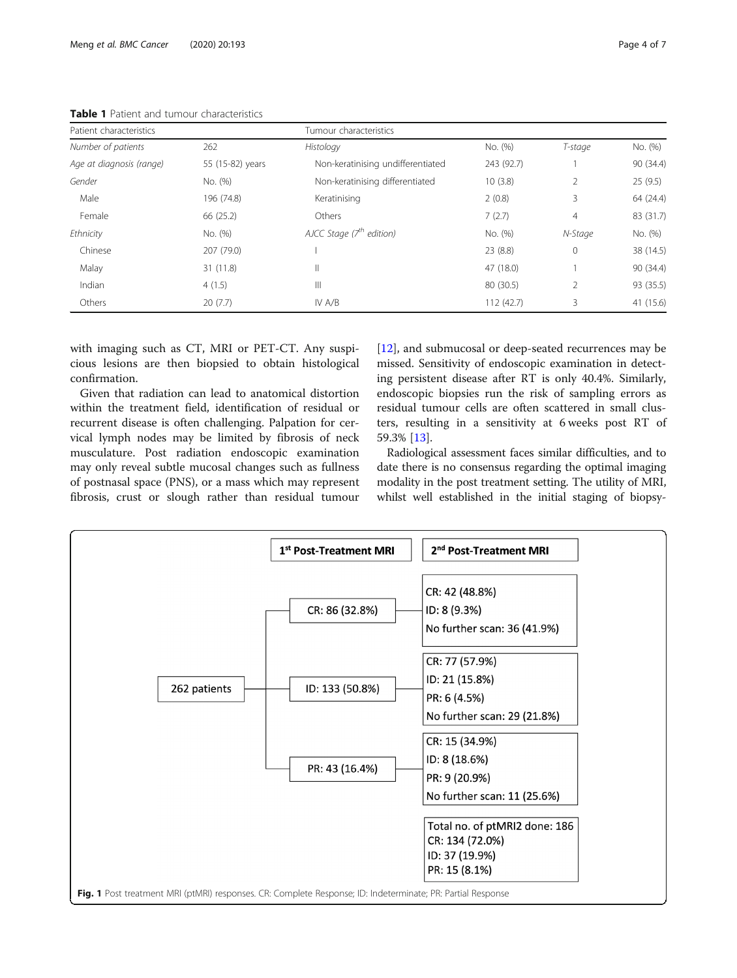| Patient characteristics  |                  | Tumour characteristics            |            |                |           |
|--------------------------|------------------|-----------------------------------|------------|----------------|-----------|
| Number of patients       | 262              | Histology                         | No. (%)    | T-stage        | No. (%)   |
| Age at diagnosis (range) | 55 (15-82) years | Non-keratinising undifferentiated | 243 (92.7) |                | 90 (34.4) |
| Gender                   | No. (%)          | Non-keratinising differentiated   | 10(3.8)    | 2              | 25(9.5)   |
| Male                     | 196 (74.8)       | Keratinising                      | 2(0.8)     | 3              | 64 (24.4) |
| Female                   | 66 (25.2)        | Others                            | 7(2.7)     | $\overline{4}$ | 83 (31.7) |
| Ethnicity                | No. (%)          | AJCC Stage $(7th$ edition)        | No. (%)    | N-Stage        | No. (%)   |
| Chinese                  | 207 (79.0)       |                                   | 23(8.8)    | $\mathbf{0}$   | 38 (14.5) |
| Malay                    | 31 (11.8)        | $\mathsf{II}$                     | 47 (18.0)  |                | 90 (34.4) |
| Indian                   | 4(1.5)           | Ш                                 | 80 (30.5)  | $\mathfrak{D}$ | 93 (35.5) |
| Others                   | 20(7.7)          | IV $A/B$                          | 112 (42.7) | 3              | 41 (15.6) |

<span id="page-3-0"></span>Table 1 Patient and tumour characteristics

with imaging such as CT, MRI or PET-CT. Any suspicious lesions are then biopsied to obtain histological confirmation.

Given that radiation can lead to anatomical distortion within the treatment field, identification of residual or recurrent disease is often challenging. Palpation for cervical lymph nodes may be limited by fibrosis of neck musculature. Post radiation endoscopic examination may only reveal subtle mucosal changes such as fullness of postnasal space (PNS), or a mass which may represent fibrosis, crust or slough rather than residual tumour [[12\]](#page-6-0), and submucosal or deep-seated recurrences may be missed. Sensitivity of endoscopic examination in detecting persistent disease after RT is only 40.4%. Similarly, endoscopic biopsies run the risk of sampling errors as residual tumour cells are often scattered in small clusters, resulting in a sensitivity at 6 weeks post RT of 59.3% [[13](#page-6-0)].

Radiological assessment faces similar difficulties, and to date there is no consensus regarding the optimal imaging modality in the post treatment setting. The utility of MRI, whilst well established in the initial staging of biopsy-

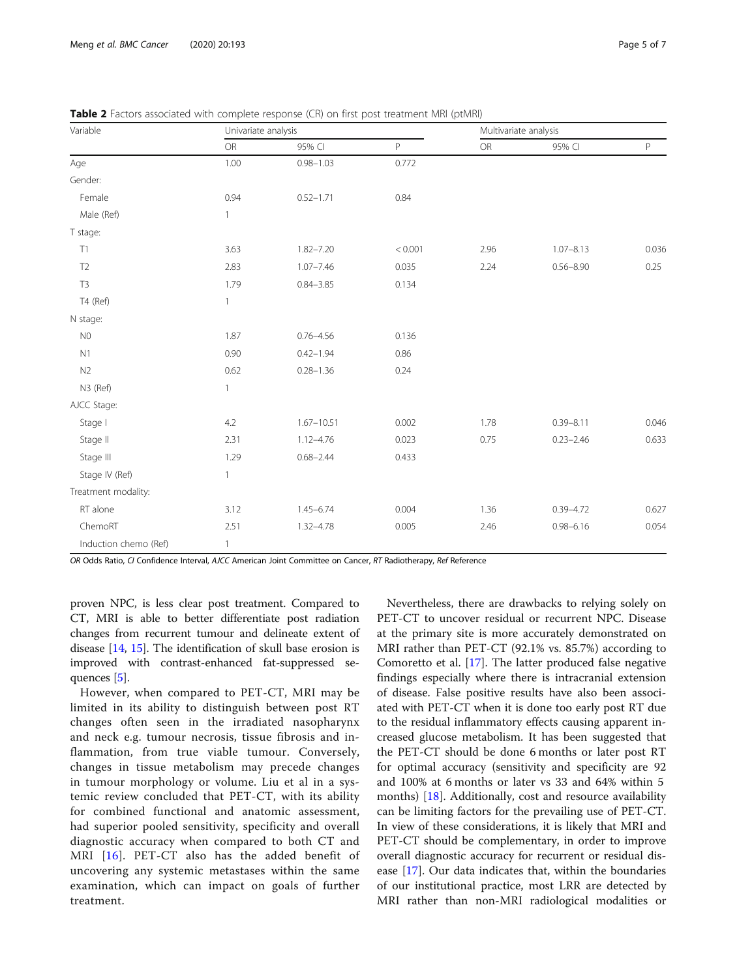| Variable              | Univariate analysis |                |         | Multivariate analysis |               |             |
|-----------------------|---------------------|----------------|---------|-----------------------|---------------|-------------|
|                       | OR                  | 95% CI         | P       | OR                    | 95% CI        | $\mathsf P$ |
| Age                   | 1.00                | $0.98 - 1.03$  | 0.772   |                       |               |             |
| Gender:               |                     |                |         |                       |               |             |
| Female                | 0.94                | $0.52 - 1.71$  | 0.84    |                       |               |             |
| Male (Ref)            | $\mathbf{1}$        |                |         |                       |               |             |
| T stage:              |                     |                |         |                       |               |             |
| T1                    | 3.63                | $1.82 - 7.20$  | < 0.001 | 2.96                  | $1.07 - 8.13$ | 0.036       |
| T <sub>2</sub>        | 2.83                | $1.07 - 7.46$  | 0.035   | 2.24                  | $0.56 - 8.90$ | 0.25        |
| T <sub>3</sub>        | 1.79                | $0.84 - 3.85$  | 0.134   |                       |               |             |
| T4 (Ref)              | 1                   |                |         |                       |               |             |
| N stage:              |                     |                |         |                       |               |             |
| N <sub>0</sub>        | 1.87                | $0.76 - 4.56$  | 0.136   |                       |               |             |
| N1                    | 0.90                | $0.42 - 1.94$  | 0.86    |                       |               |             |
| N <sub>2</sub>        | 0.62                | $0.28 - 1.36$  | 0.24    |                       |               |             |
| N3 (Ref)              | 1                   |                |         |                       |               |             |
| AJCC Stage:           |                     |                |         |                       |               |             |
| Stage I               | 4.2                 | $1.67 - 10.51$ | 0.002   | 1.78                  | $0.39 - 8.11$ | 0.046       |
| Stage II              | 2.31                | $1.12 - 4.76$  | 0.023   | 0.75                  | $0.23 - 2.46$ | 0.633       |
| Stage III             | 1.29                | $0.68 - 2.44$  | 0.433   |                       |               |             |
| Stage IV (Ref)        | 1                   |                |         |                       |               |             |
| Treatment modality:   |                     |                |         |                       |               |             |
| RT alone              | 3.12                | $1.45 - 6.74$  | 0.004   | 1.36                  | $0.39 - 4.72$ | 0.627       |
| ChemoRT               | 2.51                | $1.32 - 4.78$  | 0.005   | 2.46                  | $0.98 - 6.16$ | 0.054       |
| Induction chemo (Ref) | 1                   |                |         |                       |               |             |

<span id="page-4-0"></span>Table 2 Factors associated with complete response (CR) on first post treatment MRI (ptMRI)

OR Odds Ratio, CI Confidence Interval, AJCC American Joint Committee on Cancer, RT Radiotherapy, Ref Reference

proven NPC, is less clear post treatment. Compared to CT, MRI is able to better differentiate post radiation changes from recurrent tumour and delineate extent of disease [[14](#page-6-0), [15](#page-6-0)]. The identification of skull base erosion is improved with contrast-enhanced fat-suppressed sequences [[5\]](#page-6-0).

However, when compared to PET-CT, MRI may be limited in its ability to distinguish between post RT changes often seen in the irradiated nasopharynx and neck e.g. tumour necrosis, tissue fibrosis and inflammation, from true viable tumour. Conversely, changes in tissue metabolism may precede changes in tumour morphology or volume. Liu et al in a systemic review concluded that PET-CT, with its ability for combined functional and anatomic assessment, had superior pooled sensitivity, specificity and overall diagnostic accuracy when compared to both CT and MRI [[16\]](#page-6-0). PET-CT also has the added benefit of uncovering any systemic metastases within the same examination, which can impact on goals of further treatment.

Nevertheless, there are drawbacks to relying solely on PET-CT to uncover residual or recurrent NPC. Disease at the primary site is more accurately demonstrated on MRI rather than PET-CT (92.1% vs. 85.7%) according to Comoretto et al. [\[17\]](#page-6-0). The latter produced false negative findings especially where there is intracranial extension of disease. False positive results have also been associated with PET-CT when it is done too early post RT due to the residual inflammatory effects causing apparent increased glucose metabolism. It has been suggested that the PET-CT should be done 6 months or later post RT for optimal accuracy (sensitivity and specificity are 92 and 100% at 6 months or later vs 33 and 64% within 5 months) [\[18](#page-6-0)]. Additionally, cost and resource availability can be limiting factors for the prevailing use of PET-CT. In view of these considerations, it is likely that MRI and PET-CT should be complementary, in order to improve overall diagnostic accuracy for recurrent or residual disease [\[17](#page-6-0)]. Our data indicates that, within the boundaries of our institutional practice, most LRR are detected by MRI rather than non-MRI radiological modalities or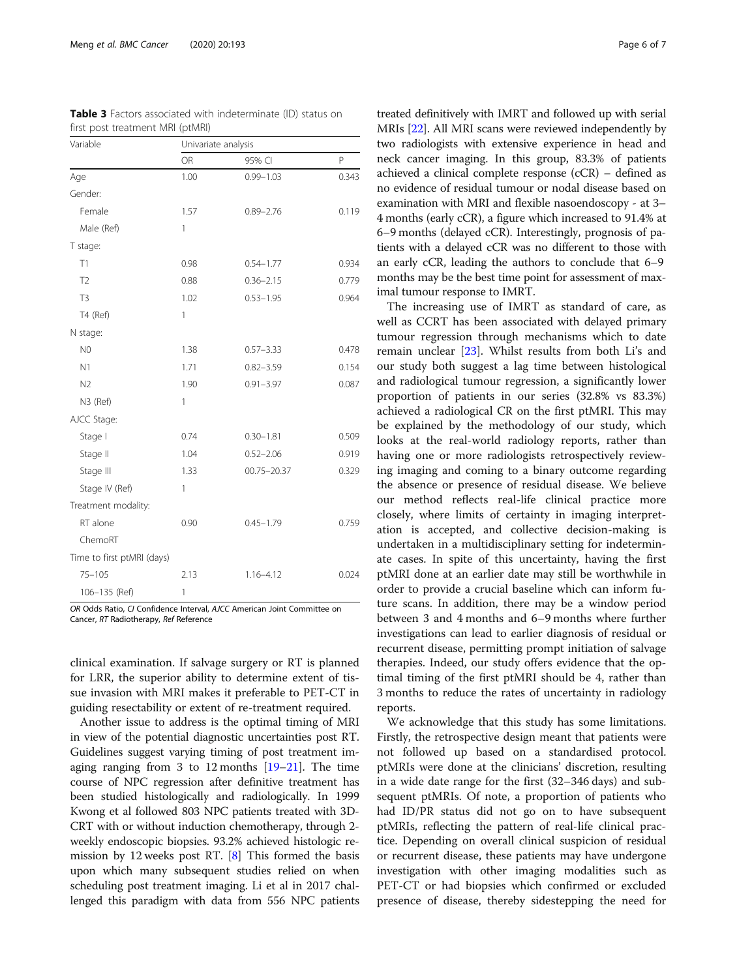| Variable                   | Univariate analysis |                 |       |  |
|----------------------------|---------------------|-----------------|-------|--|
|                            | <b>OR</b>           | 95% CI          | P     |  |
| Age                        | 1.00                | $0.99 - 1.03$   | 0.343 |  |
| Gender:                    |                     |                 |       |  |
| Female                     | 1.57                | $0.89 - 2.76$   | 0.119 |  |
| Male (Ref)                 | 1                   |                 |       |  |
| T stage:                   |                     |                 |       |  |
| T1                         | 0.98                | $0.54 - 1.77$   | 0.934 |  |
| T <sub>2</sub>             | 0.88                | $0.36 - 2.15$   | 0.779 |  |
| T <sub>3</sub>             | 1.02                | $0.53 - 1.95$   | 0.964 |  |
| T4 (Ref)                   | 1                   |                 |       |  |
| N stage:                   |                     |                 |       |  |
| N <sub>0</sub>             | 1.38                | $0.57 - 3.33$   | 0.478 |  |
| N <sub>1</sub>             | 1.71                | $0.82 - 3.59$   | 0.154 |  |
| N <sub>2</sub>             | 1.90                | $0.91 - 3.97$   | 0.087 |  |
| N3 (Ref)                   | 1                   |                 |       |  |
| AJCC Stage:                |                     |                 |       |  |
| Stage I                    | 0.74                | $0.30 - 1.81$   | 0.509 |  |
| Stage II                   | 1.04                | $0.52 - 2.06$   | 0.919 |  |
| Stage III                  | 1.33                | $00.75 - 20.37$ | 0.329 |  |
| Stage IV (Ref)             | 1                   |                 |       |  |
| Treatment modality:        |                     |                 |       |  |
| RT alone                   | 0.90                | $0.45 - 1.79$   | 0.759 |  |
| ChemoRT                    |                     |                 |       |  |
| Time to first ptMRI (days) |                     |                 |       |  |
| $75 - 105$                 | 2.13                | $1.16 - 4.12$   | 0.024 |  |
| 106-135 (Ref)              | 1                   |                 |       |  |

<span id="page-5-0"></span>Table 3 Factors associated with indeterminate (ID) status on first post treatment MRI (ptMRI)

OR Odds Ratio, CI Confidence Interval, AJCC American Joint Committee on Cancer, RT Radiotherapy, Ref Reference

clinical examination. If salvage surgery or RT is planned for LRR, the superior ability to determine extent of tissue invasion with MRI makes it preferable to PET-CT in guiding resectability or extent of re-treatment required.

Another issue to address is the optimal timing of MRI in view of the potential diagnostic uncertainties post RT. Guidelines suggest varying timing of post treatment imaging ranging from 3 to 12 months [\[19](#page-6-0)–[21](#page-6-0)]. The time course of NPC regression after definitive treatment has been studied histologically and radiologically. In 1999 Kwong et al followed 803 NPC patients treated with 3D-CRT with or without induction chemotherapy, through 2 weekly endoscopic biopsies. 93.2% achieved histologic remission by 12 weeks post RT. [\[8](#page-6-0)] This formed the basis upon which many subsequent studies relied on when scheduling post treatment imaging. Li et al in 2017 challenged this paradigm with data from 556 NPC patients

treated definitively with IMRT and followed up with serial MRIs [\[22](#page-6-0)]. All MRI scans were reviewed independently by two radiologists with extensive experience in head and neck cancer imaging. In this group, 83.3% of patients achieved a clinical complete response (cCR) – defined as no evidence of residual tumour or nodal disease based on examination with MRI and flexible nasoendoscopy - at 3– 4 months (early cCR), a figure which increased to 91.4% at 6–9 months (delayed cCR). Interestingly, prognosis of patients with a delayed cCR was no different to those with an early cCR, leading the authors to conclude that 6–9 months may be the best time point for assessment of maximal tumour response to IMRT.

The increasing use of IMRT as standard of care, as well as CCRT has been associated with delayed primary tumour regression through mechanisms which to date remain unclear [[23](#page-6-0)]. Whilst results from both Li's and our study both suggest a lag time between histological and radiological tumour regression, a significantly lower proportion of patients in our series (32.8% vs 83.3%) achieved a radiological CR on the first ptMRI. This may be explained by the methodology of our study, which looks at the real-world radiology reports, rather than having one or more radiologists retrospectively reviewing imaging and coming to a binary outcome regarding the absence or presence of residual disease. We believe our method reflects real-life clinical practice more closely, where limits of certainty in imaging interpretation is accepted, and collective decision-making is undertaken in a multidisciplinary setting for indeterminate cases. In spite of this uncertainty, having the first ptMRI done at an earlier date may still be worthwhile in order to provide a crucial baseline which can inform future scans. In addition, there may be a window period between 3 and 4 months and 6–9 months where further investigations can lead to earlier diagnosis of residual or recurrent disease, permitting prompt initiation of salvage therapies. Indeed, our study offers evidence that the optimal timing of the first ptMRI should be 4, rather than 3 months to reduce the rates of uncertainty in radiology reports.

We acknowledge that this study has some limitations. Firstly, the retrospective design meant that patients were not followed up based on a standardised protocol. ptMRIs were done at the clinicians' discretion, resulting in a wide date range for the first (32–346 days) and subsequent ptMRIs. Of note, a proportion of patients who had ID/PR status did not go on to have subsequent ptMRIs, reflecting the pattern of real-life clinical practice. Depending on overall clinical suspicion of residual or recurrent disease, these patients may have undergone investigation with other imaging modalities such as PET-CT or had biopsies which confirmed or excluded presence of disease, thereby sidestepping the need for